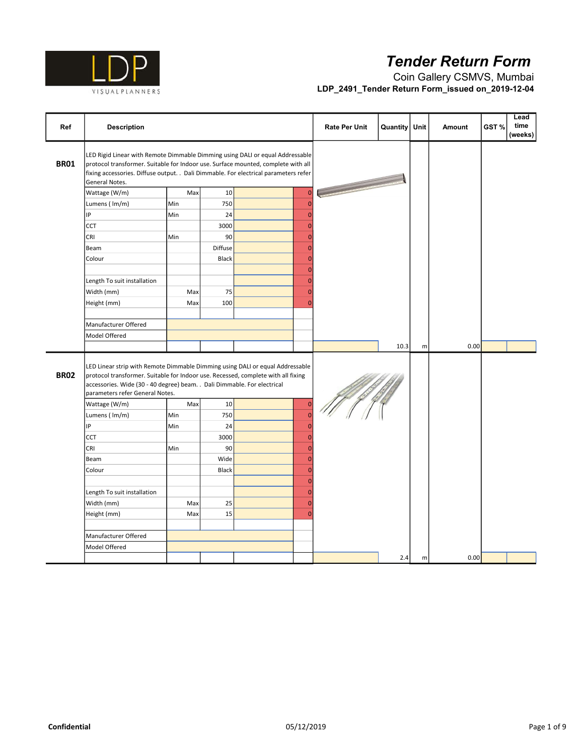

| Ref         | <b>Description</b>                                                                                                                                                                                                                                                                |     |         |                | <b>Rate Per Unit</b> | <b>Quantity</b> | Unit      | Amount | GST% | Lead<br>time<br>(weeks) |
|-------------|-----------------------------------------------------------------------------------------------------------------------------------------------------------------------------------------------------------------------------------------------------------------------------------|-----|---------|----------------|----------------------|-----------------|-----------|--------|------|-------------------------|
| <b>BR01</b> | LED Rigid Linear with Remote Dimmable Dimming using DALI or equal Addressable<br>protocol transformer. Suitable for Indoor use. Surface mounted, complete with all<br>fixing accessories. Diffuse output. . Dali Dimmable. For electrical parameters refer<br>General Notes.      |     |         |                |                      |                 |           |        |      |                         |
|             | Wattage (W/m)                                                                                                                                                                                                                                                                     | Max | 10      | $\mathbf{0}$   |                      |                 |           |        |      |                         |
|             | Lumens (Im/m)                                                                                                                                                                                                                                                                     | Min | 750     | $\overline{0}$ |                      |                 |           |        |      |                         |
|             | IP                                                                                                                                                                                                                                                                                | Min | 24      | $\overline{0}$ |                      |                 |           |        |      |                         |
|             | <b>CCT</b>                                                                                                                                                                                                                                                                        |     | 3000    | $\mathbf{0}$   |                      |                 |           |        |      |                         |
|             | CRI                                                                                                                                                                                                                                                                               | Min | 90      | $\mathbf{0}$   |                      |                 |           |        |      |                         |
|             | Beam                                                                                                                                                                                                                                                                              |     | Diffuse | $\overline{0}$ |                      |                 |           |        |      |                         |
|             | Colour                                                                                                                                                                                                                                                                            |     | Black   | $\mathbf{0}$   |                      |                 |           |        |      |                         |
|             |                                                                                                                                                                                                                                                                                   |     |         | $\mathbf{0}$   |                      |                 |           |        |      |                         |
|             | Length To suit installation                                                                                                                                                                                                                                                       |     |         | $\overline{0}$ |                      |                 |           |        |      |                         |
|             | Width (mm)                                                                                                                                                                                                                                                                        | Max | 75      | $\overline{0}$ |                      |                 |           |        |      |                         |
|             | Height (mm)                                                                                                                                                                                                                                                                       | Max | 100     | $\overline{0}$ |                      |                 |           |        |      |                         |
|             |                                                                                                                                                                                                                                                                                   |     |         |                |                      |                 |           |        |      |                         |
|             | Manufacturer Offered                                                                                                                                                                                                                                                              |     |         |                |                      |                 |           |        |      |                         |
|             | Model Offered                                                                                                                                                                                                                                                                     |     |         |                |                      |                 |           |        |      |                         |
|             |                                                                                                                                                                                                                                                                                   |     |         |                |                      | 10.3            | ${\sf m}$ | 0.00   |      |                         |
| <b>BR02</b> | LED Linear strip with Remote Dimmable Dimming using DALI or equal Addressable<br>protocol transformer. Suitable for Indoor use. Recessed, complete with all fixing<br>accessories. Wide (30 - 40 degree) beam. . Dali Dimmable. For electrical<br>parameters refer General Notes. |     |         |                |                      |                 |           |        |      |                         |
|             | Wattage (W/m)                                                                                                                                                                                                                                                                     | Max | 10      | $\overline{0}$ |                      |                 |           |        |      |                         |
|             | Lumens (Im/m)                                                                                                                                                                                                                                                                     | Min | 750     | $\overline{0}$ |                      |                 |           |        |      |                         |
|             | IP                                                                                                                                                                                                                                                                                | Min | 24      | $\overline{0}$ |                      |                 |           |        |      |                         |
|             | <b>CCT</b>                                                                                                                                                                                                                                                                        |     | 3000    | $\overline{0}$ |                      |                 |           |        |      |                         |
|             | CRI                                                                                                                                                                                                                                                                               | Min | 90      | $\overline{0}$ |                      |                 |           |        |      |                         |
|             | Beam                                                                                                                                                                                                                                                                              |     | Wide    | $\overline{0}$ |                      |                 |           |        |      |                         |
|             | Colour                                                                                                                                                                                                                                                                            |     | Black   | $\overline{0}$ |                      |                 |           |        |      |                         |
|             |                                                                                                                                                                                                                                                                                   |     |         | $\mathbf{0}$   |                      |                 |           |        |      |                         |
|             | Length To suit installation                                                                                                                                                                                                                                                       |     |         | $\mathbf{0}$   |                      |                 |           |        |      |                         |
|             | Width (mm)                                                                                                                                                                                                                                                                        | Max | 25      | $\overline{0}$ |                      |                 |           |        |      |                         |
|             | Height (mm)                                                                                                                                                                                                                                                                       | Max | 15      | $\overline{0}$ |                      |                 |           |        |      |                         |
|             |                                                                                                                                                                                                                                                                                   |     |         |                |                      |                 |           |        |      |                         |
|             | Manufacturer Offered                                                                                                                                                                                                                                                              |     |         |                |                      |                 |           |        |      |                         |
|             | Model Offered                                                                                                                                                                                                                                                                     |     |         |                |                      |                 |           |        |      |                         |
|             |                                                                                                                                                                                                                                                                                   |     |         |                |                      | 2.4             | m         | 0.00   |      |                         |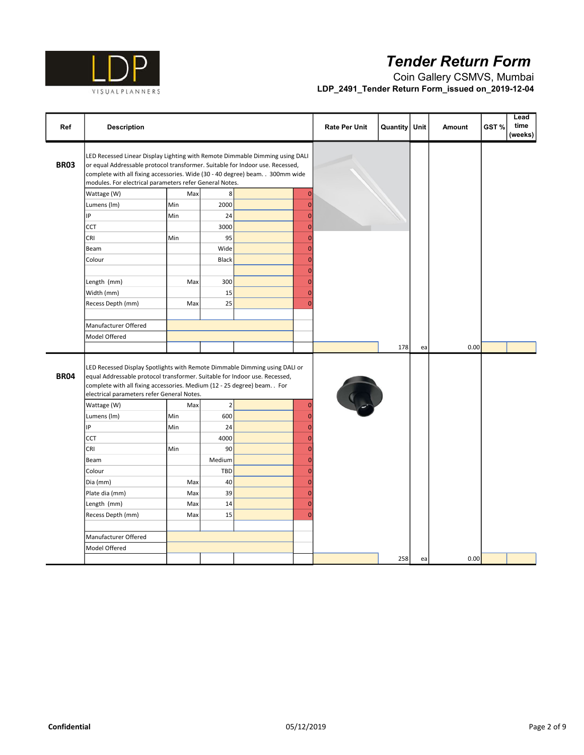

| Ref         | <b>Description</b>                                                                                                                                                                                                                                                                                         |     |             |                | <b>Rate Per Unit</b> | <b>Quantity</b> | Unit | <b>Amount</b> | GST% | Lead<br>time<br>(weeks) |
|-------------|------------------------------------------------------------------------------------------------------------------------------------------------------------------------------------------------------------------------------------------------------------------------------------------------------------|-----|-------------|----------------|----------------------|-----------------|------|---------------|------|-------------------------|
| <b>BR03</b> | LED Recessed Linear Display Lighting with Remote Dimmable Dimming using DALI<br>or equal Addressable protocol transformer. Suitable for Indoor use. Recessed,<br>complete with all fixing accessories. Wide (30 - 40 degree) beam. . 300mm wide<br>modules. For electrical parameters refer General Notes. |     |             |                |                      |                 |      |               |      |                         |
|             | Wattage (W)                                                                                                                                                                                                                                                                                                | Max | 8           | $\mathbf{0}$   |                      |                 |      |               |      |                         |
|             | Lumens (Im)                                                                                                                                                                                                                                                                                                | Min | 2000        | $\mathbf{0}$   |                      |                 |      |               |      |                         |
|             | IP                                                                                                                                                                                                                                                                                                         | Min | 24          | $\overline{0}$ |                      |                 |      |               |      |                         |
|             | <b>CCT</b>                                                                                                                                                                                                                                                                                                 |     | 3000        | $\overline{0}$ |                      |                 |      |               |      |                         |
|             | CRI                                                                                                                                                                                                                                                                                                        | Min | 95          | $\mathbf{0}$   |                      |                 |      |               |      |                         |
|             | Beam                                                                                                                                                                                                                                                                                                       |     | Wide        | $\mathbf{0}$   |                      |                 |      |               |      |                         |
|             | Colour                                                                                                                                                                                                                                                                                                     |     | Black       | $\mathbf{0}$   |                      |                 |      |               |      |                         |
|             |                                                                                                                                                                                                                                                                                                            |     |             | $\overline{0}$ |                      |                 |      |               |      |                         |
|             | Length (mm)                                                                                                                                                                                                                                                                                                | Max | 300         | $\overline{0}$ |                      |                 |      |               |      |                         |
|             | Width (mm)                                                                                                                                                                                                                                                                                                 |     | 15          | $\mathbf{0}$   |                      |                 |      |               |      |                         |
|             | Recess Depth (mm)                                                                                                                                                                                                                                                                                          | Max | 25          | $\overline{0}$ |                      |                 |      |               |      |                         |
|             |                                                                                                                                                                                                                                                                                                            |     |             |                |                      |                 |      |               |      |                         |
|             | Manufacturer Offered                                                                                                                                                                                                                                                                                       |     |             |                |                      |                 |      |               |      |                         |
|             | Model Offered                                                                                                                                                                                                                                                                                              |     |             |                |                      |                 |      |               |      |                         |
|             |                                                                                                                                                                                                                                                                                                            |     |             |                |                      | 178             | ea   | 0.00          |      |                         |
| <b>BR04</b> | LED Recessed Display Spotlights with Remote Dimmable Dimming using DALI or<br>equal Addressable protocol transformer. Suitable for Indoor use. Recessed,<br>complete with all fixing accessories. Medium (12 - 25 degree) beam. . For<br>electrical parameters refer General Notes.                        |     |             |                |                      |                 |      |               |      |                         |
|             | Wattage (W)                                                                                                                                                                                                                                                                                                | Max | $\mathbf 2$ | $\overline{0}$ |                      |                 |      |               |      |                         |
|             | Lumens (Im)                                                                                                                                                                                                                                                                                                | Min | 600         | $\overline{0}$ |                      |                 |      |               |      |                         |
|             | IP                                                                                                                                                                                                                                                                                                         | Min | 24          | $\overline{0}$ |                      |                 |      |               |      |                         |
|             | <b>CCT</b>                                                                                                                                                                                                                                                                                                 |     | 4000        | $\overline{0}$ |                      |                 |      |               |      |                         |
|             | CRI                                                                                                                                                                                                                                                                                                        | Min | 90          | $\mathbf{0}$   |                      |                 |      |               |      |                         |
|             | Beam                                                                                                                                                                                                                                                                                                       |     | Medium      | $\overline{0}$ |                      |                 |      |               |      |                         |
|             | Colour                                                                                                                                                                                                                                                                                                     |     | TBD         | $\mathbf{0}$   |                      |                 |      |               |      |                         |
|             | Dia (mm)                                                                                                                                                                                                                                                                                                   | Max | 40          | $\overline{0}$ |                      |                 |      |               |      |                         |
|             | Plate dia (mm)                                                                                                                                                                                                                                                                                             | Max | 39          | $\overline{0}$ |                      |                 |      |               |      |                         |
|             | Length (mm)                                                                                                                                                                                                                                                                                                | Max | 14          | $\overline{0}$ |                      |                 |      |               |      |                         |
|             | Recess Depth (mm)                                                                                                                                                                                                                                                                                          | Max | 15          | $\overline{0}$ |                      |                 |      |               |      |                         |
|             |                                                                                                                                                                                                                                                                                                            |     |             |                |                      |                 |      |               |      |                         |
|             | Manufacturer Offered                                                                                                                                                                                                                                                                                       |     |             |                |                      |                 |      |               |      |                         |
|             | Model Offered                                                                                                                                                                                                                                                                                              |     |             |                |                      |                 |      |               |      |                         |
|             |                                                                                                                                                                                                                                                                                                            |     |             |                |                      | 258             | ea   | 0.00          |      |                         |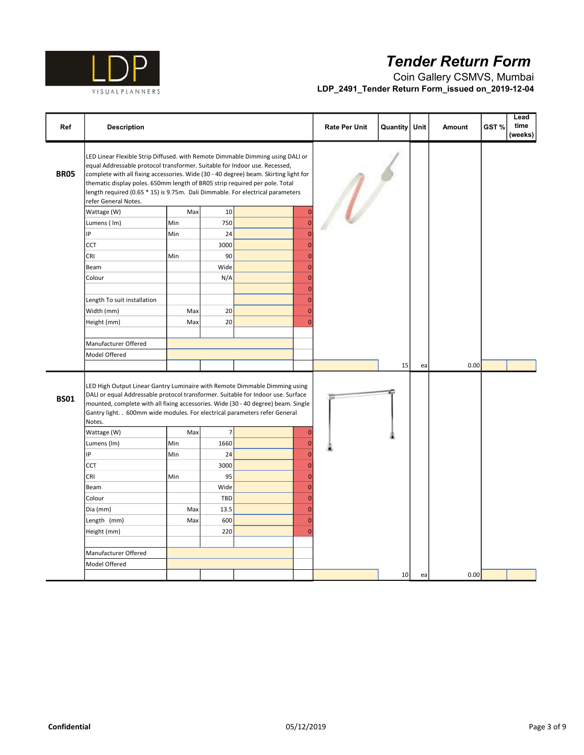

| Ref         | <b>Description</b>                                                                                                                                                                                                                                                                                                                                                                                                                            |     |                |                      | <b>Rate Per Unit</b> | Quantity | Unit | Amount | Lead<br>time<br>GST%<br>(weeks) |
|-------------|-----------------------------------------------------------------------------------------------------------------------------------------------------------------------------------------------------------------------------------------------------------------------------------------------------------------------------------------------------------------------------------------------------------------------------------------------|-----|----------------|----------------------|----------------------|----------|------|--------|---------------------------------|
| <b>BR05</b> | LED Linear Flexible Strip Diffused. with Remote Dimmable Dimming using DALI or<br>equal Addressable protocol transformer. Suitable for Indoor use. Recessed,<br>complete with all fixing accessories. Wide (30 - 40 degree) beam. Skirting light for<br>thematic display poles. 650mm length of BR05 strip required per pole. Total<br>length required (0.65 * 15) is 9.75m. Dali Dimmable. For electrical parameters<br>refer General Notes. |     |                |                      | $\overline{U}$       |          |      |        |                                 |
|             | Wattage (W)                                                                                                                                                                                                                                                                                                                                                                                                                                   | Max | 10             | $\overline{0}$       |                      |          |      |        |                                 |
|             | Lumens (Im)                                                                                                                                                                                                                                                                                                                                                                                                                                   | Min | 750            | $\overline{0}$       |                      |          |      |        |                                 |
|             | IP                                                                                                                                                                                                                                                                                                                                                                                                                                            | Min | 24             | $\Omega$             |                      |          |      |        |                                 |
|             | CCT                                                                                                                                                                                                                                                                                                                                                                                                                                           |     | 3000           | O                    |                      |          |      |        |                                 |
|             | CRI                                                                                                                                                                                                                                                                                                                                                                                                                                           | Min | 90             | $\overline{0}$       |                      |          |      |        |                                 |
|             | Beam                                                                                                                                                                                                                                                                                                                                                                                                                                          |     | Wide           | $\overline{0}$       |                      |          |      |        |                                 |
|             | Colour                                                                                                                                                                                                                                                                                                                                                                                                                                        |     | N/A            | $\overline{0}$       |                      |          |      |        |                                 |
|             | Length To suit installation                                                                                                                                                                                                                                                                                                                                                                                                                   |     |                | $\Omega$<br>$\Omega$ |                      |          |      |        |                                 |
|             | Width (mm)                                                                                                                                                                                                                                                                                                                                                                                                                                    | Max | 20             | $\overline{0}$       |                      |          |      |        |                                 |
|             | Height (mm)                                                                                                                                                                                                                                                                                                                                                                                                                                   | Max | 20             | $\Omega$             |                      |          |      |        |                                 |
|             | Manufacturer Offered                                                                                                                                                                                                                                                                                                                                                                                                                          |     |                |                      |                      |          |      |        |                                 |
|             | Model Offered                                                                                                                                                                                                                                                                                                                                                                                                                                 |     |                |                      |                      |          |      |        |                                 |
|             |                                                                                                                                                                                                                                                                                                                                                                                                                                               |     |                |                      |                      | 15       | ea   | 0.00   |                                 |
| <b>BS01</b> | LED High Output Linear Gantry Luminaire with Remote Dimmable Dimming using<br>DALI or equal Addressable protocol transformer. Suitable for Indoor use. Surface<br>mounted, complete with all fixing accessories. Wide (30 - 40 degree) beam. Single<br>Gantry light. . 600mm wide modules. For electrical parameters refer General<br>Notes.                                                                                                  |     |                |                      |                      |          |      |        |                                 |
|             | Wattage (W)                                                                                                                                                                                                                                                                                                                                                                                                                                   | Max | $\overline{7}$ | $\Omega$             |                      |          |      |        |                                 |
|             | Lumens (Im)                                                                                                                                                                                                                                                                                                                                                                                                                                   | Min | 1660           | $\Omega$             |                      |          |      |        |                                 |
|             | IP                                                                                                                                                                                                                                                                                                                                                                                                                                            | Min | 24             | $\Omega$             |                      |          |      |        |                                 |
|             | CCT                                                                                                                                                                                                                                                                                                                                                                                                                                           |     | 3000           | $\Omega$             |                      |          |      |        |                                 |
|             | CRI                                                                                                                                                                                                                                                                                                                                                                                                                                           | Min | 95             | $\Omega$             |                      |          |      |        |                                 |
|             | Beam                                                                                                                                                                                                                                                                                                                                                                                                                                          |     | Wide           | $\overline{0}$       |                      |          |      |        |                                 |
|             | Colour                                                                                                                                                                                                                                                                                                                                                                                                                                        |     | <b>TBD</b>     | $\overline{0}$       |                      |          |      |        |                                 |
|             | Dia (mm)                                                                                                                                                                                                                                                                                                                                                                                                                                      | Max | 13.5           | $\Omega$             |                      |          |      |        |                                 |
|             | Length (mm)                                                                                                                                                                                                                                                                                                                                                                                                                                   | Max | 600            | $\Omega$             |                      |          |      |        |                                 |
|             | Height (mm)                                                                                                                                                                                                                                                                                                                                                                                                                                   |     | 220            | C                    |                      |          |      |        |                                 |
|             |                                                                                                                                                                                                                                                                                                                                                                                                                                               |     |                |                      |                      |          |      |        |                                 |
|             | Manufacturer Offered                                                                                                                                                                                                                                                                                                                                                                                                                          |     |                |                      |                      |          |      |        |                                 |
|             | Model Offered                                                                                                                                                                                                                                                                                                                                                                                                                                 |     |                |                      |                      |          |      |        |                                 |
|             |                                                                                                                                                                                                                                                                                                                                                                                                                                               |     |                |                      |                      | 10       | ea   | 0.00   |                                 |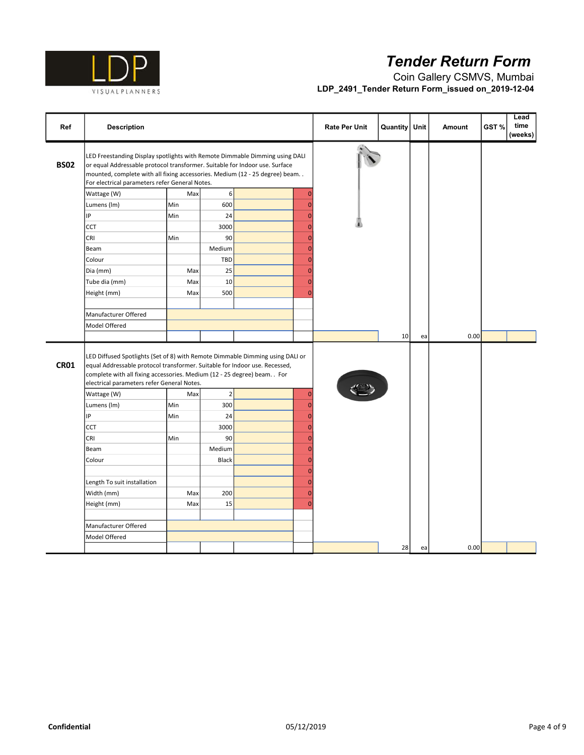

| Ref         | <b>Description</b>                                                                                                                                                                                                                                                                          |     |             |                | <b>Rate Per Unit</b> | Quantity | Unit | <b>Amount</b> | GST% | Lead<br>time<br>(weeks) |
|-------------|---------------------------------------------------------------------------------------------------------------------------------------------------------------------------------------------------------------------------------------------------------------------------------------------|-----|-------------|----------------|----------------------|----------|------|---------------|------|-------------------------|
| <b>BS02</b> | LED Freestanding Display spotlights with Remote Dimmable Dimming using DALI<br>or equal Addressable protocol transformer. Suitable for Indoor use. Surface<br>mounted, complete with all fixing accessories. Medium (12 - 25 degree) beam<br>For electrical parameters refer General Notes. |     |             |                |                      |          |      |               |      |                         |
|             | Wattage (W)                                                                                                                                                                                                                                                                                 | Max | 6           | $\mathbf 0$    |                      |          |      |               |      |                         |
|             | Lumens (Im)                                                                                                                                                                                                                                                                                 | Min | 600         | $\overline{0}$ |                      |          |      |               |      |                         |
|             | IP                                                                                                                                                                                                                                                                                          | Min | 24          | $\overline{0}$ |                      |          |      |               |      |                         |
|             | <b>CCT</b>                                                                                                                                                                                                                                                                                  |     | 3000        | $\overline{0}$ |                      |          |      |               |      |                         |
|             | CRI                                                                                                                                                                                                                                                                                         | Min | 90          | $\overline{0}$ |                      |          |      |               |      |                         |
|             | Beam                                                                                                                                                                                                                                                                                        |     | Medium      | $\overline{0}$ |                      |          |      |               |      |                         |
|             | Colour                                                                                                                                                                                                                                                                                      |     | TBD         | $\overline{0}$ |                      |          |      |               |      |                         |
|             | Dia (mm)                                                                                                                                                                                                                                                                                    | Max | 25          | $\mathbf{0}$   |                      |          |      |               |      |                         |
|             | Tube dia (mm)                                                                                                                                                                                                                                                                               | Max | 10          | $\overline{0}$ |                      |          |      |               |      |                         |
|             | Height (mm)                                                                                                                                                                                                                                                                                 | Max | 500         | $\overline{0}$ |                      |          |      |               |      |                         |
|             |                                                                                                                                                                                                                                                                                             |     |             |                |                      |          |      |               |      |                         |
|             | Manufacturer Offered                                                                                                                                                                                                                                                                        |     |             |                |                      |          |      |               |      |                         |
|             | Model Offered                                                                                                                                                                                                                                                                               |     |             |                |                      |          |      |               |      |                         |
|             |                                                                                                                                                                                                                                                                                             |     |             |                |                      | 10       | ea   | 0.00          |      |                         |
| <b>CR01</b> | LED Diffused Spotlights (Set of 8) with Remote Dimmable Dimming using DALI or<br>equal Addressable protocol transformer. Suitable for Indoor use. Recessed,<br>complete with all fixing accessories. Medium (12 - 25 degree) beam. . For<br>electrical parameters refer General Notes.      |     |             |                |                      |          |      |               |      |                         |
|             | Wattage (W)                                                                                                                                                                                                                                                                                 | Max | $\mathbf 2$ | $\overline{0}$ |                      |          |      |               |      |                         |
|             | Lumens (Im)                                                                                                                                                                                                                                                                                 | Min | 300         | $\overline{0}$ |                      |          |      |               |      |                         |
|             | IP                                                                                                                                                                                                                                                                                          | Min | 24          | $\overline{0}$ |                      |          |      |               |      |                         |
|             | <b>CCT</b>                                                                                                                                                                                                                                                                                  |     | 3000        | $\overline{0}$ |                      |          |      |               |      |                         |
|             | CRI                                                                                                                                                                                                                                                                                         | Min | 90          | $\overline{0}$ |                      |          |      |               |      |                         |
|             | Beam                                                                                                                                                                                                                                                                                        |     | Medium      | $\overline{0}$ |                      |          |      |               |      |                         |
|             | Colour                                                                                                                                                                                                                                                                                      |     | Black       | $\mathbf{0}$   |                      |          |      |               |      |                         |
|             |                                                                                                                                                                                                                                                                                             |     |             | $\mathbf{0}$   |                      |          |      |               |      |                         |
|             | Length To suit installation                                                                                                                                                                                                                                                                 |     |             | $\mathbf{0}$   |                      |          |      |               |      |                         |
|             | Width (mm)                                                                                                                                                                                                                                                                                  | Max | 200         | $\mathbf{0}$   |                      |          |      |               |      |                         |
|             | Height (mm)                                                                                                                                                                                                                                                                                 | Max | 15          | $\overline{0}$ |                      |          |      |               |      |                         |
|             |                                                                                                                                                                                                                                                                                             |     |             |                |                      |          |      |               |      |                         |
|             | Manufacturer Offered                                                                                                                                                                                                                                                                        |     |             |                |                      |          |      |               |      |                         |
|             | Model Offered                                                                                                                                                                                                                                                                               |     |             |                |                      |          |      |               |      |                         |
|             |                                                                                                                                                                                                                                                                                             |     |             |                |                      | 28       | ea   | 0.00          |      |                         |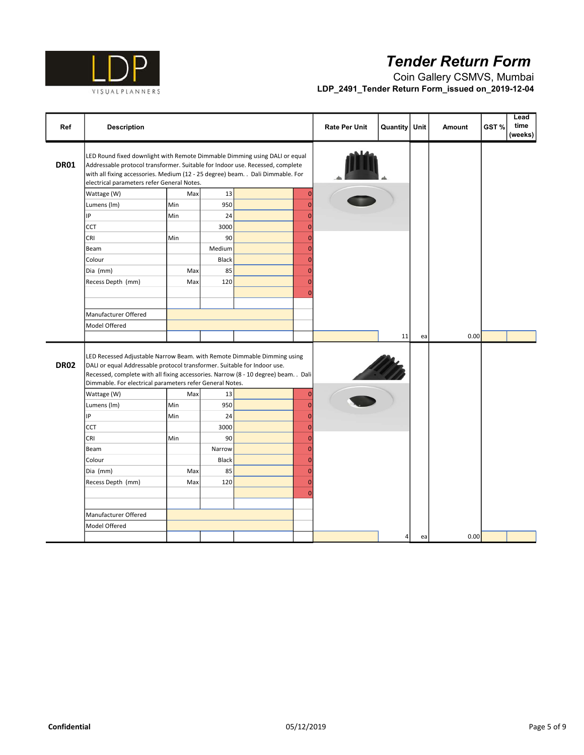

| Ref         | <b>Description</b>                                                                                                                                                                                                                                                                                     |     |              |                | <b>Rate Per Unit</b> | <b>Quantity</b> | Unit | <b>Amount</b> | GST% | Lead<br>time<br>(weeks) |
|-------------|--------------------------------------------------------------------------------------------------------------------------------------------------------------------------------------------------------------------------------------------------------------------------------------------------------|-----|--------------|----------------|----------------------|-----------------|------|---------------|------|-------------------------|
| <b>DR01</b> | LED Round fixed downlight with Remote Dimmable Dimming using DALI or equal<br>Addressable protocol transformer. Suitable for Indoor use. Recessed, complete<br>with all fixing accessories. Medium (12 - 25 degree) beam. . Dali Dimmable. For<br>electrical parameters refer General Notes.           |     |              |                |                      |                 |      |               |      |                         |
|             | Wattage (W)                                                                                                                                                                                                                                                                                            | Max | 13           | $\overline{0}$ |                      |                 |      |               |      |                         |
|             | Lumens (Im)                                                                                                                                                                                                                                                                                            | Min | 950          | $\overline{0}$ |                      |                 |      |               |      |                         |
|             | IP                                                                                                                                                                                                                                                                                                     | Min | 24           | $\overline{0}$ |                      |                 |      |               |      |                         |
|             | <b>CCT</b>                                                                                                                                                                                                                                                                                             |     | 3000         | $\mathbf 0$    |                      |                 |      |               |      |                         |
|             | CRI                                                                                                                                                                                                                                                                                                    | Min | 90           | $\overline{0}$ |                      |                 |      |               |      |                         |
|             | Beam                                                                                                                                                                                                                                                                                                   |     | Medium       | $\overline{0}$ |                      |                 |      |               |      |                         |
|             | Colour                                                                                                                                                                                                                                                                                                 |     | <b>Black</b> | $\overline{0}$ |                      |                 |      |               |      |                         |
|             | Dia (mm)                                                                                                                                                                                                                                                                                               | Max | 85           | $\overline{0}$ |                      |                 |      |               |      |                         |
|             | Recess Depth (mm)                                                                                                                                                                                                                                                                                      | Max | 120          | $\Omega$       |                      |                 |      |               |      |                         |
|             |                                                                                                                                                                                                                                                                                                        |     |              | $\sqrt{ }$     |                      |                 |      |               |      |                         |
|             |                                                                                                                                                                                                                                                                                                        |     |              |                |                      |                 |      |               |      |                         |
|             | Manufacturer Offered                                                                                                                                                                                                                                                                                   |     |              |                |                      |                 |      |               |      |                         |
|             | Model Offered                                                                                                                                                                                                                                                                                          |     |              |                |                      |                 |      |               |      |                         |
|             |                                                                                                                                                                                                                                                                                                        |     |              |                |                      | 11              | ea   | 0.00          |      |                         |
| <b>DR02</b> | LED Recessed Adjustable Narrow Beam. with Remote Dimmable Dimming using<br>DALI or equal Addressable protocol transformer. Suitable for Indoor use.<br>Recessed, complete with all fixing accessories. Narrow (8 - 10 degree) beam. . Dali<br>Dimmable. For electrical parameters refer General Notes. |     |              |                |                      |                 |      |               |      |                         |
|             | Wattage (W)                                                                                                                                                                                                                                                                                            | Max | 13           | $\overline{0}$ |                      |                 |      |               |      |                         |
|             | Lumens (Im)                                                                                                                                                                                                                                                                                            | Min | 950          | $\mathbf{0}$   |                      |                 |      |               |      |                         |
|             | IP                                                                                                                                                                                                                                                                                                     | Min | 24           | $\mathbf{0}$   |                      |                 |      |               |      |                         |
|             | <b>CCT</b>                                                                                                                                                                                                                                                                                             |     | 3000         | $\mathbf{0}$   |                      |                 |      |               |      |                         |
|             | CRI                                                                                                                                                                                                                                                                                                    | Min | 90           | $\overline{0}$ |                      |                 |      |               |      |                         |
|             | Beam                                                                                                                                                                                                                                                                                                   |     | Narrow       | $\overline{0}$ |                      |                 |      |               |      |                         |
|             | Colour                                                                                                                                                                                                                                                                                                 |     | Black        | $\overline{0}$ |                      |                 |      |               |      |                         |
|             | Dia (mm)                                                                                                                                                                                                                                                                                               | Max | 85           | $\mathbf{C}$   |                      |                 |      |               |      |                         |
|             | Recess Depth (mm)                                                                                                                                                                                                                                                                                      | Max | 120          | $\overline{0}$ |                      |                 |      |               |      |                         |
|             |                                                                                                                                                                                                                                                                                                        |     |              | C              |                      |                 |      |               |      |                         |
|             |                                                                                                                                                                                                                                                                                                        |     |              |                |                      |                 |      |               |      |                         |
|             | Manufacturer Offered                                                                                                                                                                                                                                                                                   |     |              |                |                      |                 |      |               |      |                         |
|             | Model Offered                                                                                                                                                                                                                                                                                          |     |              |                |                      |                 |      |               |      |                         |
|             |                                                                                                                                                                                                                                                                                                        |     |              |                |                      | $\overline{4}$  | ea   | 0.00          |      |                         |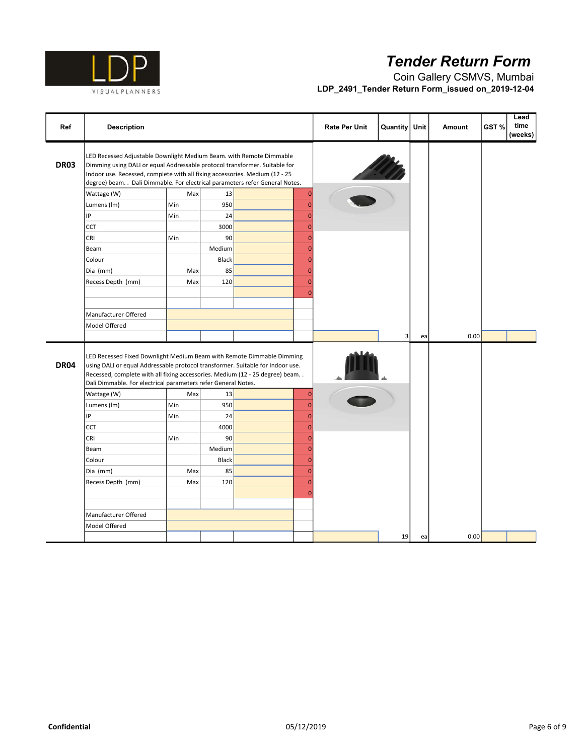

| Ref         | <b>Description</b>                                                                                                                                                                                                                                                                                                |     |              |                | <b>Rate Per Unit</b> | <b>Quantity</b> | Unit | Amount | Lead<br>time<br>GST%<br>(weeks) |
|-------------|-------------------------------------------------------------------------------------------------------------------------------------------------------------------------------------------------------------------------------------------------------------------------------------------------------------------|-----|--------------|----------------|----------------------|-----------------|------|--------|---------------------------------|
| <b>DR03</b> | LED Recessed Adjustable Downlight Medium Beam. with Remote Dimmable<br>Dimming using DALI or equal Addressable protocol transformer. Suitable for<br>Indoor use. Recessed, complete with all fixing accessories. Medium (12 - 25<br>degree) beam. . Dali Dimmable. For electrical parameters refer General Notes. |     |              |                |                      |                 |      |        |                                 |
|             | Wattage (W)                                                                                                                                                                                                                                                                                                       | Max | 13           | $\overline{0}$ |                      |                 |      |        |                                 |
|             | Lumens (Im)                                                                                                                                                                                                                                                                                                       | Min | 950          | $\sqrt{ }$     |                      |                 |      |        |                                 |
|             | IP                                                                                                                                                                                                                                                                                                                | Min | 24           | $\Omega$       |                      |                 |      |        |                                 |
|             | CCT                                                                                                                                                                                                                                                                                                               |     | 3000         | $\mathbf{0}$   |                      |                 |      |        |                                 |
|             | <b>CRI</b>                                                                                                                                                                                                                                                                                                        | Min | 90           | $\mathbf{0}$   |                      |                 |      |        |                                 |
|             | Beam                                                                                                                                                                                                                                                                                                              |     | Medium       | $\Omega$       |                      |                 |      |        |                                 |
|             | Colour                                                                                                                                                                                                                                                                                                            |     | <b>Black</b> | $\Omega$       |                      |                 |      |        |                                 |
|             | Dia (mm)                                                                                                                                                                                                                                                                                                          | Max | 85           | $\overline{0}$ |                      |                 |      |        |                                 |
|             | Recess Depth (mm)                                                                                                                                                                                                                                                                                                 | Max | 120          | $\Omega$       |                      |                 |      |        |                                 |
|             |                                                                                                                                                                                                                                                                                                                   |     |              | $\Omega$       |                      |                 |      |        |                                 |
|             |                                                                                                                                                                                                                                                                                                                   |     |              |                |                      |                 |      |        |                                 |
|             | Manufacturer Offered                                                                                                                                                                                                                                                                                              |     |              |                |                      |                 |      |        |                                 |
|             | Model Offered                                                                                                                                                                                                                                                                                                     |     |              |                |                      |                 |      |        |                                 |
|             |                                                                                                                                                                                                                                                                                                                   |     |              |                |                      | 3               | ea   | 0.00   |                                 |
| <b>DR04</b> | LED Recessed Fixed Downlight Medium Beam with Remote Dimmable Dimming<br>using DALI or equal Addressable protocol transformer. Suitable for Indoor use.<br>Recessed, complete with all fixing accessories. Medium (12 - 25 degree) beam. .<br>Dali Dimmable. For electrical parameters refer General Notes.       |     |              |                |                      |                 |      |        |                                 |
|             | Wattage (W)                                                                                                                                                                                                                                                                                                       | Max | 13           | $\overline{0}$ |                      |                 |      |        |                                 |
|             | Lumens (Im)                                                                                                                                                                                                                                                                                                       | Min | 950          | $\overline{0}$ |                      |                 |      |        |                                 |
|             | IP                                                                                                                                                                                                                                                                                                                | Min | 24           | $\Omega$       |                      |                 |      |        |                                 |
|             | CCT                                                                                                                                                                                                                                                                                                               |     | 4000         | $\overline{0}$ |                      |                 |      |        |                                 |
|             | <b>CRI</b>                                                                                                                                                                                                                                                                                                        | Min | 90           | $\overline{0}$ |                      |                 |      |        |                                 |
|             | Beam                                                                                                                                                                                                                                                                                                              |     | Medium       | $\overline{0}$ |                      |                 |      |        |                                 |
|             | Colour                                                                                                                                                                                                                                                                                                            |     | Black        | $\overline{0}$ |                      |                 |      |        |                                 |
|             | Dia (mm)                                                                                                                                                                                                                                                                                                          | Max | 85           | $\Omega$       |                      |                 |      |        |                                 |
|             | Recess Depth (mm)                                                                                                                                                                                                                                                                                                 | Max | 120          | $\sqrt{ }$     |                      |                 |      |        |                                 |
|             |                                                                                                                                                                                                                                                                                                                   |     |              | C              |                      |                 |      |        |                                 |
|             |                                                                                                                                                                                                                                                                                                                   |     |              |                |                      |                 |      |        |                                 |
|             | Manufacturer Offered                                                                                                                                                                                                                                                                                              |     |              |                |                      |                 |      |        |                                 |
|             | Model Offered                                                                                                                                                                                                                                                                                                     |     |              |                |                      |                 |      |        |                                 |
|             |                                                                                                                                                                                                                                                                                                                   |     |              |                |                      | 19              | ea   | 0.00   |                                 |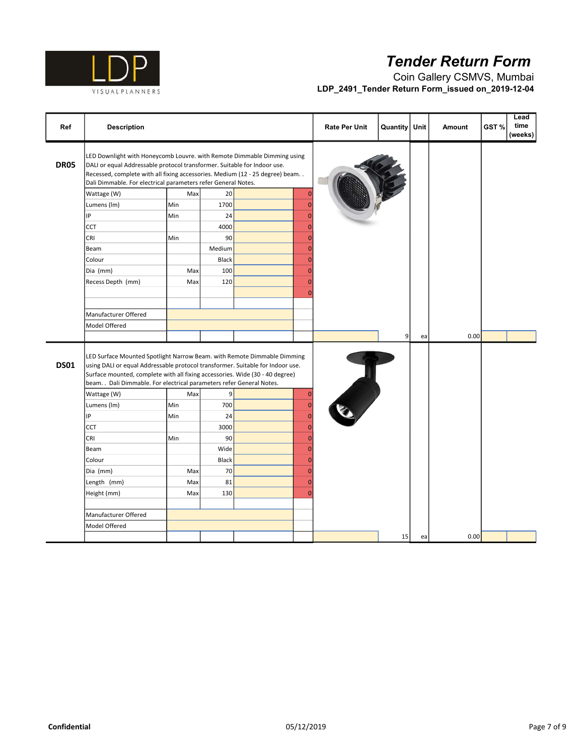

| Ref         | <b>Description</b>                                                                                                                                                                                                                                                                                                 |     |        |                | <b>Rate Per Unit</b> | <b>Quantity</b> | Unit | <b>Amount</b> | GST% | Lead<br>time<br>(weeks) |
|-------------|--------------------------------------------------------------------------------------------------------------------------------------------------------------------------------------------------------------------------------------------------------------------------------------------------------------------|-----|--------|----------------|----------------------|-----------------|------|---------------|------|-------------------------|
| <b>DR05</b> | LED Downlight with Honeycomb Louvre. with Remote Dimmable Dimming using<br>DALI or equal Addressable protocol transformer. Suitable for Indoor use.<br>Recessed, complete with all fixing accessories. Medium (12 - 25 degree) beam<br>Dali Dimmable. For electrical parameters refer General Notes.               |     |        |                |                      |                 |      |               |      |                         |
|             | Wattage (W)                                                                                                                                                                                                                                                                                                        | Max | 20     | $\mathbf{C}$   |                      |                 |      |               |      |                         |
|             | Lumens (Im)                                                                                                                                                                                                                                                                                                        | Min | 1700   | r              |                      |                 |      |               |      |                         |
|             | IP                                                                                                                                                                                                                                                                                                                 | Min | 24     | $\overline{0}$ |                      |                 |      |               |      |                         |
|             | <b>CCT</b>                                                                                                                                                                                                                                                                                                         |     | 4000   | $\mathbf{0}$   |                      |                 |      |               |      |                         |
|             | CRI                                                                                                                                                                                                                                                                                                                | Min | 90     | $\Omega$       |                      |                 |      |               |      |                         |
|             | Beam                                                                                                                                                                                                                                                                                                               |     | Medium | $\overline{0}$ |                      |                 |      |               |      |                         |
|             | Colour                                                                                                                                                                                                                                                                                                             |     | Black  | $\Omega$       |                      |                 |      |               |      |                         |
|             | Dia (mm)                                                                                                                                                                                                                                                                                                           | Max | 100    | $\overline{0}$ |                      |                 |      |               |      |                         |
|             | Recess Depth (mm)                                                                                                                                                                                                                                                                                                  | Max | 120    | $\sqrt{ }$     |                      |                 |      |               |      |                         |
|             |                                                                                                                                                                                                                                                                                                                    |     |        | C              |                      |                 |      |               |      |                         |
|             |                                                                                                                                                                                                                                                                                                                    |     |        |                |                      |                 |      |               |      |                         |
|             | Manufacturer Offered                                                                                                                                                                                                                                                                                               |     |        |                |                      |                 |      |               |      |                         |
|             | Model Offered                                                                                                                                                                                                                                                                                                      |     |        |                |                      |                 |      |               |      |                         |
|             |                                                                                                                                                                                                                                                                                                                    |     |        |                |                      | 9 <sup>1</sup>  | ea   | 0.00          |      |                         |
| <b>DS01</b> | LED Surface Mounted Spotlight Narrow Beam. with Remote Dimmable Dimming<br>using DALI or equal Addressable protocol transformer. Suitable for Indoor use.<br>Surface mounted, complete with all fixing accessories. Wide (30 - 40 degree)<br>beam. . Dali Dimmable. For electrical parameters refer General Notes. |     |        |                |                      |                 |      |               |      |                         |
|             | Wattage (W)                                                                                                                                                                                                                                                                                                        | Max | 9      | $\overline{0}$ |                      |                 |      |               |      |                         |
|             | Lumens (Im)                                                                                                                                                                                                                                                                                                        | Min | 700    | $\overline{0}$ |                      |                 |      |               |      |                         |
|             | IP                                                                                                                                                                                                                                                                                                                 | Min | 24     | $\Omega$       |                      |                 |      |               |      |                         |
|             | CCT                                                                                                                                                                                                                                                                                                                |     | 3000   | $\Omega$       |                      |                 |      |               |      |                         |
|             | CRI                                                                                                                                                                                                                                                                                                                | Min | 90     | $\Omega$       |                      |                 |      |               |      |                         |
|             | Beam                                                                                                                                                                                                                                                                                                               |     | Wide   | $\mathbf{0}$   |                      |                 |      |               |      |                         |
|             | Colour                                                                                                                                                                                                                                                                                                             |     | Black  | $\mathbf{C}$   |                      |                 |      |               |      |                         |
|             | Dia (mm)                                                                                                                                                                                                                                                                                                           | Max | 70     | $\overline{0}$ |                      |                 |      |               |      |                         |
|             | Length (mm)                                                                                                                                                                                                                                                                                                        | Max | 81     | $\sqrt{ }$     |                      |                 |      |               |      |                         |
|             | Height (mm)                                                                                                                                                                                                                                                                                                        | Max | 130    | $\mathbf{0}$   |                      |                 |      |               |      |                         |
|             |                                                                                                                                                                                                                                                                                                                    |     |        |                |                      |                 |      |               |      |                         |
|             | Manufacturer Offered                                                                                                                                                                                                                                                                                               |     |        |                |                      |                 |      |               |      |                         |
|             | Model Offered                                                                                                                                                                                                                                                                                                      |     |        |                |                      |                 |      |               |      |                         |
|             |                                                                                                                                                                                                                                                                                                                    |     |        |                |                      | 15              | ea   | 0.00          |      |                         |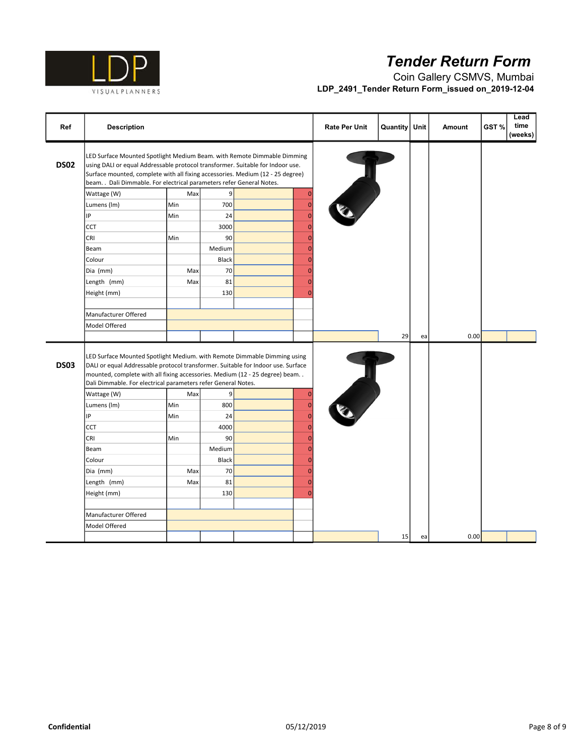

| Ref         | <b>Description</b>                                                                                                                                                                                                                                                                                                   |     |        |                | <b>Rate Per Unit</b> | <b>Quantity</b> | Unit | <b>Amount</b> | Lead<br>time<br>GST%<br>(weeks) |
|-------------|----------------------------------------------------------------------------------------------------------------------------------------------------------------------------------------------------------------------------------------------------------------------------------------------------------------------|-----|--------|----------------|----------------------|-----------------|------|---------------|---------------------------------|
| <b>DS02</b> | LED Surface Mounted Spotlight Medium Beam. with Remote Dimmable Dimming<br>using DALI or equal Addressable protocol transformer. Suitable for Indoor use.<br>Surface mounted, complete with all fixing accessories. Medium (12 - 25 degree)<br>beam. . Dali Dimmable. For electrical parameters refer General Notes. |     |        |                |                      |                 |      |               |                                 |
|             | Wattage (W)                                                                                                                                                                                                                                                                                                          | Max | 9      | $\mathbf{0}$   |                      |                 |      |               |                                 |
|             | Lumens (Im)                                                                                                                                                                                                                                                                                                          | Min | 700    | $\mathbf{0}$   |                      |                 |      |               |                                 |
|             | IP                                                                                                                                                                                                                                                                                                                   | Min | 24     | $\overline{0}$ |                      |                 |      |               |                                 |
|             | <b>CCT</b>                                                                                                                                                                                                                                                                                                           |     | 3000   | $\mathbf{0}$   |                      |                 |      |               |                                 |
|             | CRI                                                                                                                                                                                                                                                                                                                  | Min | 90     | $\Omega$       |                      |                 |      |               |                                 |
|             | Beam                                                                                                                                                                                                                                                                                                                 |     | Medium | $\overline{0}$ |                      |                 |      |               |                                 |
|             | Colour                                                                                                                                                                                                                                                                                                               |     | Black  | $\Omega$       |                      |                 |      |               |                                 |
|             | Dia (mm)                                                                                                                                                                                                                                                                                                             | Max | 70     | $\mathbf{C}$   |                      |                 |      |               |                                 |
|             | Length (mm)                                                                                                                                                                                                                                                                                                          | Max | 81     | $\sqrt{ }$     |                      |                 |      |               |                                 |
|             | Height (mm)                                                                                                                                                                                                                                                                                                          |     | 130    | $\sqrt{ }$     |                      |                 |      |               |                                 |
|             |                                                                                                                                                                                                                                                                                                                      |     |        |                |                      |                 |      |               |                                 |
|             | Manufacturer Offered                                                                                                                                                                                                                                                                                                 |     |        |                |                      |                 |      |               |                                 |
|             | Model Offered                                                                                                                                                                                                                                                                                                        |     |        |                |                      |                 |      |               |                                 |
|             |                                                                                                                                                                                                                                                                                                                      |     |        |                |                      | 29              | ea   | 0.00          |                                 |
| <b>DS03</b> | LED Surface Mounted Spotlight Medium. with Remote Dimmable Dimming using<br>DALI or equal Addressable protocol transformer. Suitable for Indoor use. Surface<br>mounted, complete with all fixing accessories. Medium (12 - 25 degree) beam<br>Dali Dimmable. For electrical parameters refer General Notes.         |     |        |                |                      |                 |      |               |                                 |
|             | Wattage (W)                                                                                                                                                                                                                                                                                                          | Max | 9      | $\overline{0}$ |                      |                 |      |               |                                 |
|             | Lumens (Im)                                                                                                                                                                                                                                                                                                          | Min | 800    | $\overline{0}$ |                      |                 |      |               |                                 |
|             | IP                                                                                                                                                                                                                                                                                                                   | Min | 24     | $\overline{0}$ |                      |                 |      |               |                                 |
|             | CCT                                                                                                                                                                                                                                                                                                                  |     | 4000   | $\mathbf 0$    |                      |                 |      |               |                                 |
|             | CRI                                                                                                                                                                                                                                                                                                                  | Min | 90     | $\mathbf{C}$   |                      |                 |      |               |                                 |
|             | Beam                                                                                                                                                                                                                                                                                                                 |     | Medium | $\mathbf{C}$   |                      |                 |      |               |                                 |
|             | Colour                                                                                                                                                                                                                                                                                                               |     | Black  | $\sqrt{ }$     |                      |                 |      |               |                                 |
|             | Dia (mm)                                                                                                                                                                                                                                                                                                             | Max | 70     | $\Omega$       |                      |                 |      |               |                                 |
|             | Length (mm)                                                                                                                                                                                                                                                                                                          | Max | 81     | C              |                      |                 |      |               |                                 |
|             | Height (mm)                                                                                                                                                                                                                                                                                                          |     | 130    | $\sqrt{ }$     |                      |                 |      |               |                                 |
|             |                                                                                                                                                                                                                                                                                                                      |     |        |                |                      |                 |      |               |                                 |
|             | Manufacturer Offered                                                                                                                                                                                                                                                                                                 |     |        |                |                      |                 |      |               |                                 |
|             | Model Offered                                                                                                                                                                                                                                                                                                        |     |        |                |                      |                 |      |               |                                 |
|             |                                                                                                                                                                                                                                                                                                                      |     |        |                |                      | 15              | ea   | 0.00          |                                 |